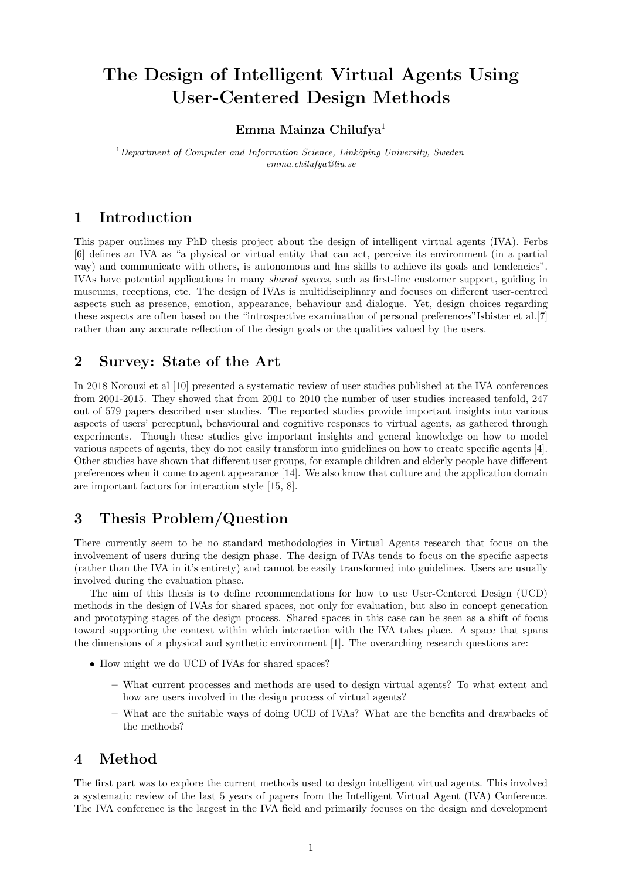# The Design of Intelligent Virtual Agents Using User-Centered Design Methods

#### Emma Mainza Chilufya<sup>1</sup>

 $1$ Department of Computer and Information Science, Linköping University, Sweden emma.chilufya@liu.se

# 1 Introduction

This paper outlines my PhD thesis project about the design of intelligent virtual agents (IVA). Ferbs [6] defines an IVA as "a physical or virtual entity that can act, perceive its environment (in a partial way) and communicate with others, is autonomous and has skills to achieve its goals and tendencies". IVAs have potential applications in many shared spaces, such as first-line customer support, guiding in museums, receptions, etc. The design of IVAs is multidisciplinary and focuses on different user-centred aspects such as presence, emotion, appearance, behaviour and dialogue. Yet, design choices regarding these aspects are often based on the "introspective examination of personal preferences"Isbister et al.[7] rather than any accurate reflection of the design goals or the qualities valued by the users.

# 2 Survey: State of the Art

In 2018 Norouzi et al [10] presented a systematic review of user studies published at the IVA conferences from 2001-2015. They showed that from 2001 to 2010 the number of user studies increased tenfold, 247 out of 579 papers described user studies. The reported studies provide important insights into various aspects of users' perceptual, behavioural and cognitive responses to virtual agents, as gathered through experiments. Though these studies give important insights and general knowledge on how to model various aspects of agents, they do not easily transform into guidelines on how to create specific agents [4]. Other studies have shown that different user groups, for example children and elderly people have different preferences when it come to agent appearance [14]. We also know that culture and the application domain are important factors for interaction style [15, 8].

# 3 Thesis Problem/Question

There currently seem to be no standard methodologies in Virtual Agents research that focus on the involvement of users during the design phase. The design of IVAs tends to focus on the specific aspects (rather than the IVA in it's entirety) and cannot be easily transformed into guidelines. Users are usually involved during the evaluation phase.

The aim of this thesis is to define recommendations for how to use User-Centered Design (UCD) methods in the design of IVAs for shared spaces, not only for evaluation, but also in concept generation and prototyping stages of the design process. Shared spaces in this case can be seen as a shift of focus toward supporting the context within which interaction with the IVA takes place. A space that spans the dimensions of a physical and synthetic environment [1]. The overarching research questions are:

- How might we do UCD of IVAs for shared spaces?
	- What current processes and methods are used to design virtual agents? To what extent and how are users involved in the design process of virtual agents?
	- What are the suitable ways of doing UCD of IVAs? What are the benefits and drawbacks of the methods?

# 4 Method

The first part was to explore the current methods used to design intelligent virtual agents. This involved a systematic review of the last 5 years of papers from the Intelligent Virtual Agent (IVA) Conference. The IVA conference is the largest in the IVA field and primarily focuses on the design and development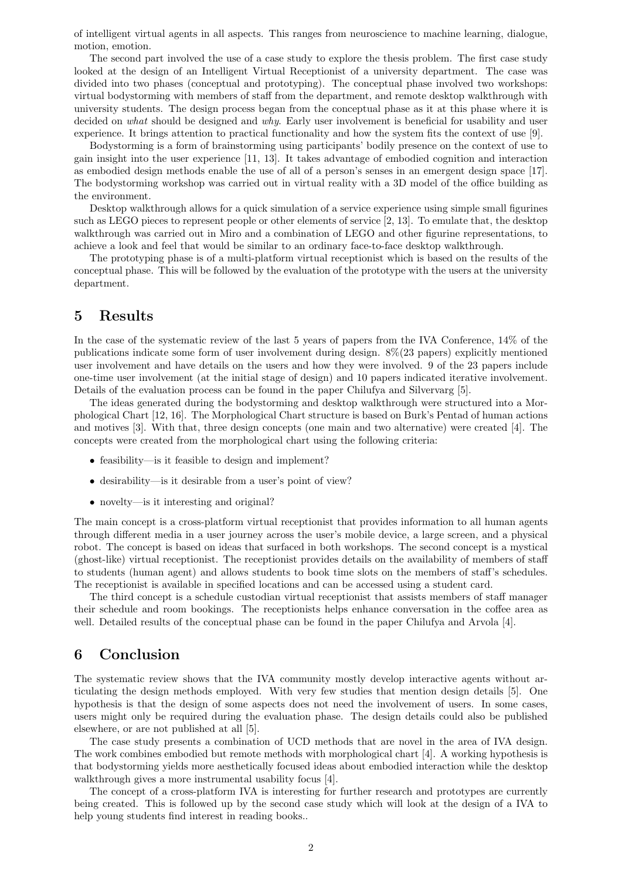of intelligent virtual agents in all aspects. This ranges from neuroscience to machine learning, dialogue, motion, emotion.

The second part involved the use of a case study to explore the thesis problem. The first case study looked at the design of an Intelligent Virtual Receptionist of a university department. The case was divided into two phases (conceptual and prototyping). The conceptual phase involved two workshops: virtual bodystorming with members of staff from the department, and remote desktop walkthrough with university students. The design process began from the conceptual phase as it at this phase where it is decided on what should be designed and why. Early user involvement is beneficial for usability and user experience. It brings attention to practical functionality and how the system fits the context of use [9].

Bodystorming is a form of brainstorming using participants' bodily presence on the context of use to gain insight into the user experience [11, 13]. It takes advantage of embodied cognition and interaction as embodied design methods enable the use of all of a person's senses in an emergent design space [17]. The bodystorming workshop was carried out in virtual reality with a 3D model of the office building as the environment.

Desktop walkthrough allows for a quick simulation of a service experience using simple small figurines such as LEGO pieces to represent people or other elements of service [2, 13]. To emulate that, the desktop walkthrough was carried out in Miro and a combination of LEGO and other figurine representations, to achieve a look and feel that would be similar to an ordinary face-to-face desktop walkthrough.

The prototyping phase is of a multi-platform virtual receptionist which is based on the results of the conceptual phase. This will be followed by the evaluation of the prototype with the users at the university department.

# 5 Results

In the case of the systematic review of the last 5 years of papers from the IVA Conference, 14% of the publications indicate some form of user involvement during design. 8%(23 papers) explicitly mentioned user involvement and have details on the users and how they were involved. 9 of the 23 papers include one-time user involvement (at the initial stage of design) and 10 papers indicated iterative involvement. Details of the evaluation process can be found in the paper Chilufya and Silvervarg [5].

The ideas generated during the bodystorming and desktop walkthrough were structured into a Morphological Chart [12, 16]. The Morphological Chart structure is based on Burk's Pentad of human actions and motives [3]. With that, three design concepts (one main and two alternative) were created [4]. The concepts were created from the morphological chart using the following criteria:

- feasibility—is it feasible to design and implement?
- desirability—is it desirable from a user's point of view?
- novelty—is it interesting and original?

The main concept is a cross-platform virtual receptionist that provides information to all human agents through different media in a user journey across the user's mobile device, a large screen, and a physical robot. The concept is based on ideas that surfaced in both workshops. The second concept is a mystical (ghost-like) virtual receptionist. The receptionist provides details on the availability of members of staff to students (human agent) and allows students to book time slots on the members of staff's schedules. The receptionist is available in specified locations and can be accessed using a student card.

The third concept is a schedule custodian virtual receptionist that assists members of staff manager their schedule and room bookings. The receptionists helps enhance conversation in the coffee area as well. Detailed results of the conceptual phase can be found in the paper Chilufya and Arvola [4].

#### 6 Conclusion

The systematic review shows that the IVA community mostly develop interactive agents without articulating the design methods employed. With very few studies that mention design details [5]. One hypothesis is that the design of some aspects does not need the involvement of users. In some cases, users might only be required during the evaluation phase. The design details could also be published elsewhere, or are not published at all [5].

The case study presents a combination of UCD methods that are novel in the area of IVA design. The work combines embodied but remote methods with morphological chart [4]. A working hypothesis is that bodystorming yields more aesthetically focused ideas about embodied interaction while the desktop walkthrough gives a more instrumental usability focus [4].

The concept of a cross-platform IVA is interesting for further research and prototypes are currently being created. This is followed up by the second case study which will look at the design of a IVA to help young students find interest in reading books..